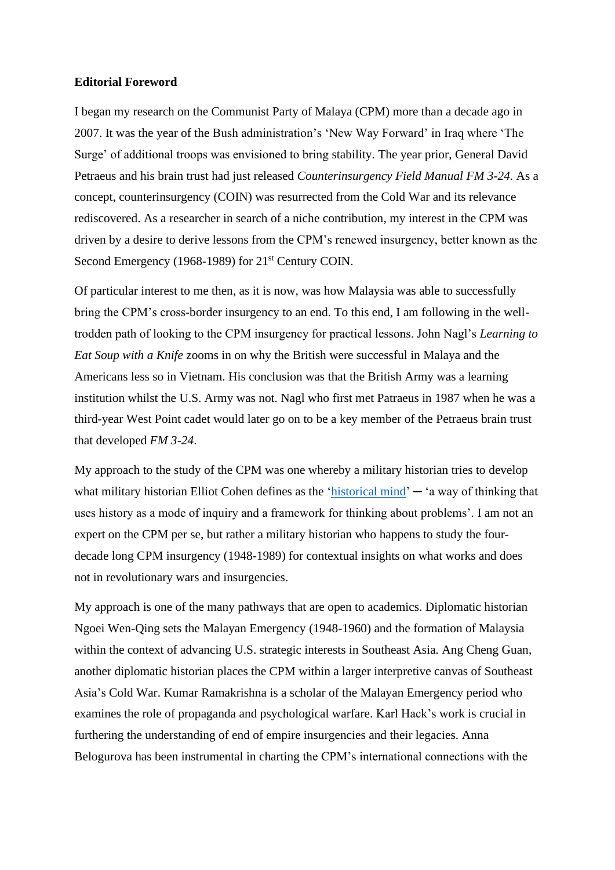## **Editorial Foreword**

I began my research on the Communist Party of Malaya (CPM) more than a decade ago in 2007. It was the year of the Bush administration's 'New Way Forward' in Iraq where 'The Surge' of additional troops was envisioned to bring stability. The year prior, General David Petraeus and his brain trust had just released *Counterinsurgency Field Manual FM 3-24*. As a concept, counterinsurgency (COIN) was resurrected from the Cold War and its relevance rediscovered. As a researcher in search of a niche contribution, my interest in the CPM was driven by a desire to derive lessons from the CPM's renewed insurgency, better known as the Second Emergency (1968-1989) for 21<sup>st</sup> Century COIN.

Of particular interest to me then, as it is now, was how Malaysia was able to successfully bring the CPM's cross-border insurgency to an end. To this end, I am following in the welltrodden path of looking to the CPM insurgency for practical lessons. John Nagl's *Learning to Eat Soup with a Knife* zooms in on why the British were successful in Malaya and the Americans less so in Vietnam. His conclusion was that the British Army was a learning institution whilst the U.S. Army was not. Nagl who first met Patraeus in 1987 when he was a third-year West Point cadet would later go on to be a key member of the Petraeus brain trust that developed *FM 3-24*.

My approach to the study of the CPM was one whereby a military historian tries to develop what military historian Elliot Cohen defines as the ['historical mind'](https://www.fpri.org/article/2005/10/historical-mind-military-strategy/)  $-$  'a way of thinking that uses history as a mode of inquiry and a framework for thinking about problems'. I am not an expert on the CPM per se, but rather a military historian who happens to study the fourdecade long CPM insurgency (1948-1989) for contextual insights on what works and does not in revolutionary wars and insurgencies.

My approach is one of the many pathways that are open to academics. Diplomatic historian Ngoei Wen-Qing sets the Malayan Emergency (1948-1960) and the formation of Malaysia within the context of advancing U.S. strategic interests in Southeast Asia. Ang Cheng Guan, another diplomatic historian places the CPM within a larger interpretive canvas of Southeast Asia's Cold War. Kumar Ramakrishna is a scholar of the Malayan Emergency period who examines the role of propaganda and psychological warfare. Karl Hack's work is crucial in furthering the understanding of end of empire insurgencies and their legacies. Anna Belogurova has been instrumental in charting the CPM's international connections with the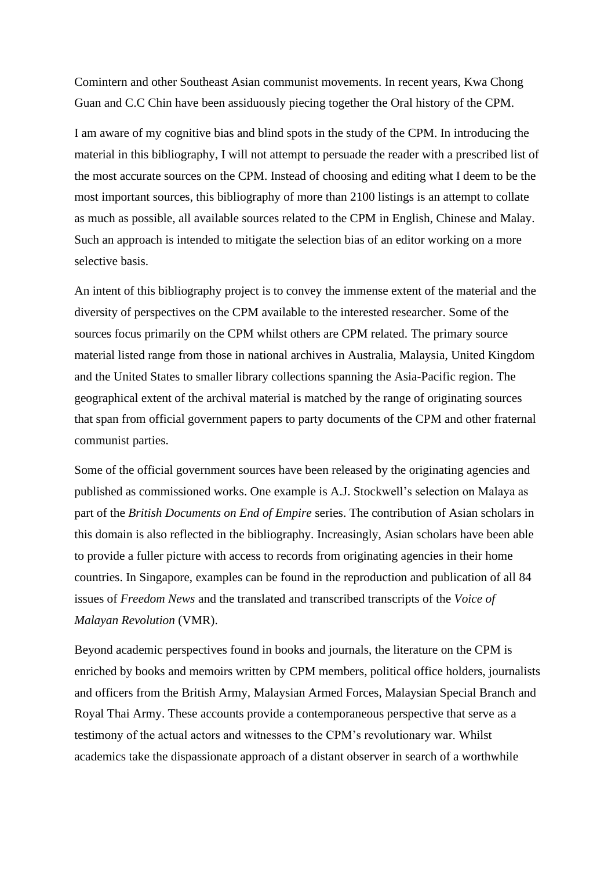Comintern and other Southeast Asian communist movements. In recent years, Kwa Chong Guan and C.C Chin have been assiduously piecing together the Oral history of the CPM.

I am aware of my cognitive bias and blind spots in the study of the CPM. In introducing the material in this bibliography, I will not attempt to persuade the reader with a prescribed list of the most accurate sources on the CPM. Instead of choosing and editing what I deem to be the most important sources, this bibliography of more than 2100 listings is an attempt to collate as much as possible, all available sources related to the CPM in English, Chinese and Malay. Such an approach is intended to mitigate the selection bias of an editor working on a more selective basis.

An intent of this bibliography project is to convey the immense extent of the material and the diversity of perspectives on the CPM available to the interested researcher. Some of the sources focus primarily on the CPM whilst others are CPM related. The primary source material listed range from those in national archives in Australia, Malaysia, United Kingdom and the United States to smaller library collections spanning the Asia-Pacific region. The geographical extent of the archival material is matched by the range of originating sources that span from official government papers to party documents of the CPM and other fraternal communist parties.

Some of the official government sources have been released by the originating agencies and published as commissioned works. One example is A.J. Stockwell's selection on Malaya as part of the *British Documents on End of Empire* series. The contribution of Asian scholars in this domain is also reflected in the bibliography. Increasingly, Asian scholars have been able to provide a fuller picture with access to records from originating agencies in their home countries. In Singapore, examples can be found in the reproduction and publication of all 84 issues of *Freedom News* and the translated and transcribed transcripts of the *Voice of Malayan Revolution* (VMR).

Beyond academic perspectives found in books and journals, the literature on the CPM is enriched by books and memoirs written by CPM members, political office holders, journalists and officers from the British Army, Malaysian Armed Forces, Malaysian Special Branch and Royal Thai Army. These accounts provide a contemporaneous perspective that serve as a testimony of the actual actors and witnesses to the CPM's revolutionary war. Whilst academics take the dispassionate approach of a distant observer in search of a worthwhile